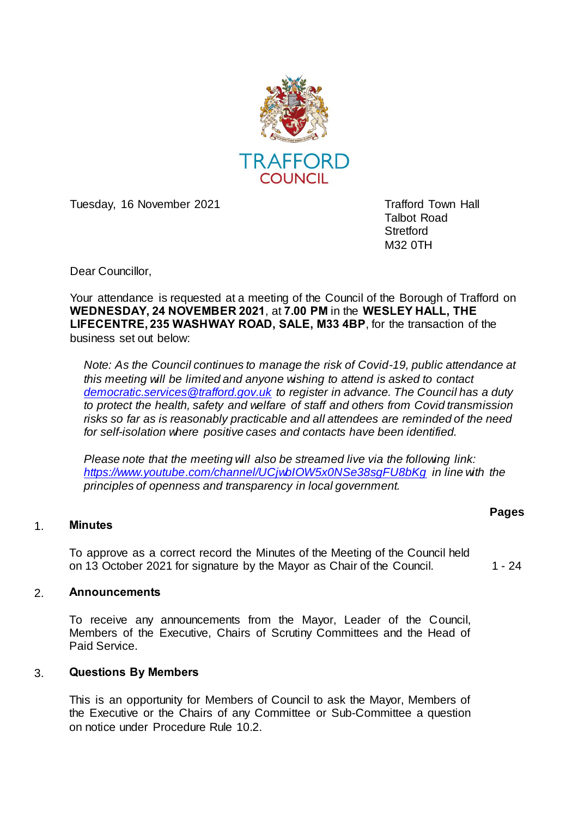

Tuesday, 16 November 2021 Tuesday, 16 November 2021

Talbot Road **Stretford** M32 0TH

Dear Councillor,

Your attendance is requested at a meeting of the Council of the Borough of Trafford on **WEDNESDAY, 24 NOVEMBER 2021**, at **7.00 PM** in the **WESLEY HALL, THE LIFECENTRE, 235 WASHWAY ROAD, SALE, M33 4BP**, for the transaction of the business set out below:

*Note: As the Council continues to manage the risk of Covid-19, public attendance at this meeting will be limited and anyone wishing to attend is asked to contact [democratic.services@trafford.gov.uk](mailto:democratic.services@trafford.gov.uk) to register in advance. The Council has a duty to protect the health, safety and welfare of staff and others from Covid transmission risks so far as is reasonably practicable and all attendees are reminded of the need for self-isolation where positive cases and contacts have been identified.*

*Please note that the meeting will also be streamed live via the following link: <https://www.youtube.com/channel/UCjwbIOW5x0NSe38sgFU8bKg> in line with the principles of openness and transparency in local government.*

## 1. **Minutes**

To approve as a correct record the Minutes of the Meeting of the Council held on 13 October 2021 for signature by the Mayor as Chair of the Council. 1 - 24

**Pages** 

## 2. **Announcements**

To receive any announcements from the Mayor, Leader of the Council, Members of the Executive, Chairs of Scrutiny Committees and the Head of Paid Service.

## 3. **Questions By Members**

This is an opportunity for Members of Council to ask the Mayor, Members of the Executive or the Chairs of any Committee or Sub-Committee a question on notice under Procedure Rule 10.2.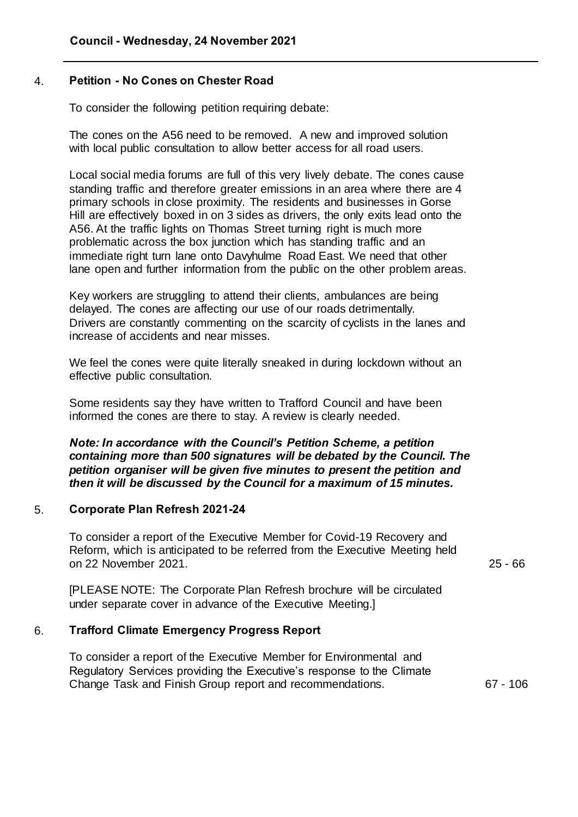# 4. **Petition - No Cones on Chester Road**

To consider the following petition requiring debate:

The cones on the A56 need to be removed. A new and improved solution with local public consultation to allow better access for all road users.

Local social media forums are full of this very lively debate. The cones cause standing traffic and therefore greater emissions in an area where there are 4 primary schools in close proximity. The residents and businesses in Gorse Hill are effectively boxed in on 3 sides as drivers, the only exits lead onto the A56. At the traffic lights on Thomas Street turning right is much more problematic across the box junction which has standing traffic and an immediate right turn lane onto Davyhulme Road East. We need that other lane open and further information from the public on the other problem areas.

Key workers are struggling to attend their clients, ambulances are being delayed. The cones are affecting our use of our roads detrimentally. Drivers are constantly commenting on the scarcity of cyclists in the lanes and increase of accidents and near misses.

We feel the cones were quite literally sneaked in during lockdown without an effective public consultation.

Some residents say they have written to Trafford Council and have been informed the cones are there to stay. A review is clearly needed.

*Note: In accordance with the Council's Petition Scheme, a petition containing more than 500 signatures will be debated by the Council. The petition organiser will be given five minutes to present the petition and then it will be discussed by the Council for a maximum of 15 minutes.*

## 5. **Corporate Plan Refresh 2021-24**

To consider a report of the Executive Member for Covid-19 Recovery and Reform, which is anticipated to be referred from the Executive Meeting held on 22 November 2021.

25 - 66

[PLEASE NOTE: The Corporate Plan Refresh brochure will be circulated under separate cover in advance of the Executive Meeting.]

# 6. **Trafford Climate Emergency Progress Report**

To consider a report of the Executive Member for Environmental and Regulatory Services providing the Executive's response to the Climate Change Task and Finish Group report and recommendations. 67 - 106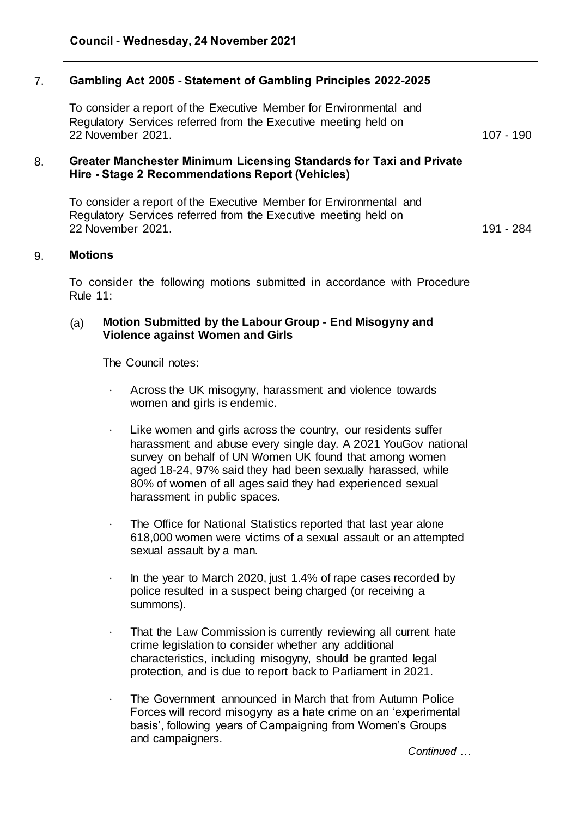# 7. **Gambling Act 2005 - Statement of Gambling Principles 2022-2025**

To consider a report of the Executive Member for Environmental and Regulatory Services referred from the Executive meeting held on 22 November 2021. 107 - 190

## 8. **Greater Manchester Minimum Licensing Standards for Taxi and Private Hire - Stage 2 Recommendations Report (Vehicles)**

To consider a report of the Executive Member for Environmental and Regulatory Services referred from the Executive meeting held on 22 November 2021. 191 - 284

#### 9. **Motions**

To consider the following motions submitted in accordance with Procedure Rule 11:

## (a) **Motion Submitted by the Labour Group - End Misogyny and Violence against Women and Girls**

The Council notes:

- Across the UK misogyny, harassment and violence towards women and girls is endemic.
- · Like women and girls across the country, our residents suffer harassment and abuse every single day. A 2021 YouGov national survey on behalf of UN Women UK found that among women aged 18-24, 97% said they had been sexually harassed, while 80% of women of all ages said they had experienced sexual harassment in public spaces.
- · The Office for National Statistics reported that last year alone 618,000 women were victims of a sexual assault or an attempted sexual assault by a man.
- · In the year to March 2020, just 1.4% of rape cases recorded by police resulted in a suspect being charged (or receiving a summons).
- That the Law Commission is currently reviewing all current hate crime legislation to consider whether any additional characteristics, including misogyny, should be granted legal protection, and is due to report back to Parliament in 2021.
- The Government announced in March that from Autumn Police Forces will record misogyny as a hate crime on an 'experimental basis', following years of Campaigning from Women's Groups and campaigners.

*Continued …*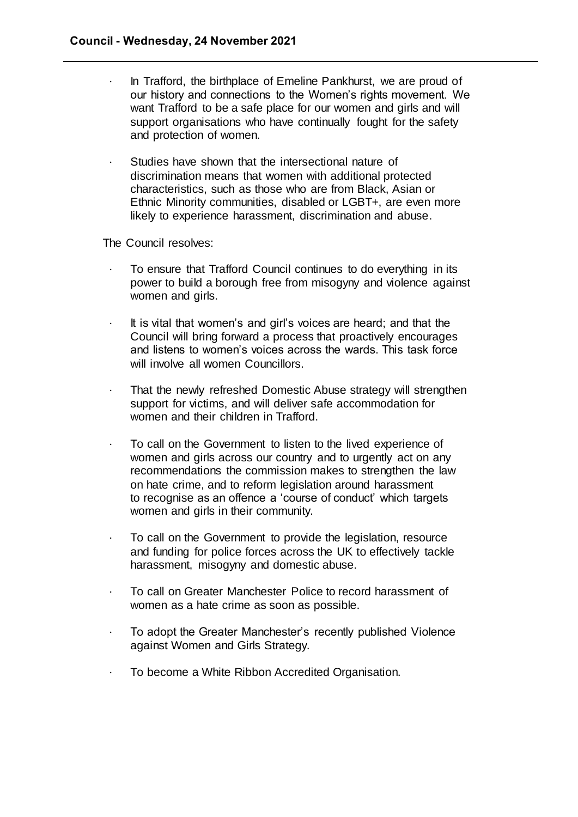- In Trafford, the birthplace of Emeline Pankhurst, we are proud of our history and connections to the Women's rights movement. We want Trafford to be a safe place for our women and girls and will support organisations who have continually fought for the safety and protection of women.
- Studies have shown that the intersectional nature of discrimination means that women with additional protected characteristics, such as those who are from Black, Asian or Ethnic Minority communities, disabled or LGBT+, are even more likely to experience harassment, discrimination and abuse.

The Council resolves:

- · To ensure that Trafford Council continues to do everything in its power to build a borough free from misogyny and violence against women and girls.
- $\cdot$  It is vital that women's and girl's voices are heard; and that the Council will bring forward a process that proactively encourages and listens to women's voices across the wards. This task force will involve all women Councillors.
- · That the newly refreshed Domestic Abuse strategy will strengthen support for victims, and will deliver safe accommodation for women and their children in Trafford.
- To call on the Government to listen to the lived experience of women and girls across our country and to urgently act on any recommendations the commission makes to strengthen the law on hate crime, and to reform legislation around harassment to recognise as an offence a 'course of conduct' which targets women and girls in their community.
- To call on the Government to provide the legislation, resource and funding for police forces across the UK to effectively tackle harassment, misogyny and domestic abuse.
- To call on Greater Manchester Police to record harassment of women as a hate crime as soon as possible.
- To adopt the Greater Manchester's recently published Violence against Women and Girls Strategy.
- · To become a White Ribbon Accredited Organisation.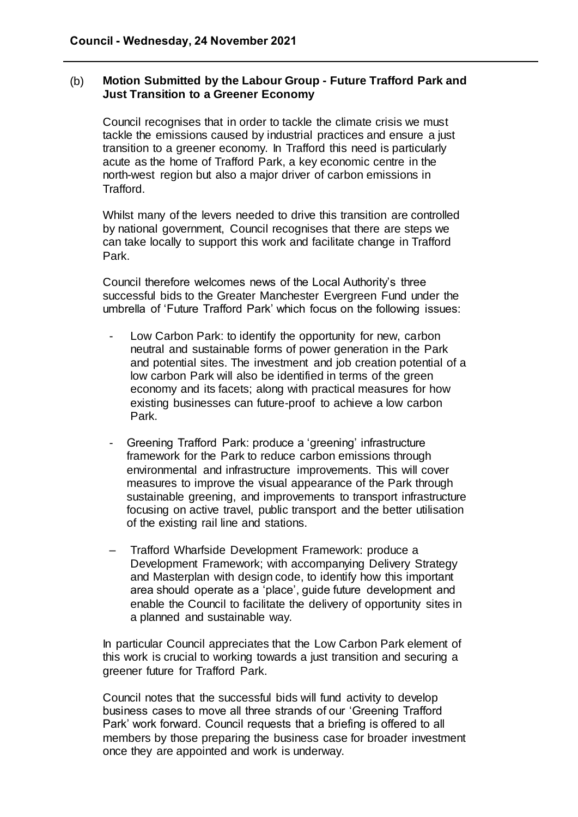# (b) **Motion Submitted by the Labour Group - Future Trafford Park and Just Transition to a Greener Economy**

Council recognises that in order to tackle the climate crisis we must tackle the emissions caused by industrial practices and ensure a just transition to a greener economy. In Trafford this need is particularly acute as the home of Trafford Park, a key economic centre in the north-west region but also a major driver of carbon emissions in Trafford.

Whilst many of the levers needed to drive this transition are controlled by national government, Council recognises that there are steps we can take locally to support this work and facilitate change in Trafford Park.

Council therefore welcomes news of the Local Authority's three successful bids to the Greater Manchester Evergreen Fund under the umbrella of 'Future Trafford Park' which focus on the following issues:

- Low Carbon Park: to identify the opportunity for new, carbon neutral and sustainable forms of power generation in the Park and potential sites. The investment and job creation potential of a low carbon Park will also be identified in terms of the green economy and its facets; along with practical measures for how existing businesses can future-proof to achieve a low carbon Park.
- Greening Trafford Park: produce a 'greening' infrastructure framework for the Park to reduce carbon emissions through environmental and infrastructure improvements. This will cover measures to improve the visual appearance of the Park through sustainable greening, and improvements to transport infrastructure focusing on active travel, public transport and the better utilisation of the existing rail line and stations.
- Trafford Wharfside Development Framework: produce a Development Framework; with accompanying Delivery Strategy and Masterplan with design code, to identify how this important area should operate as a 'place', guide future development and enable the Council to facilitate the delivery of opportunity sites in a planned and sustainable way.

In particular Council appreciates that the Low Carbon Park element of this work is crucial to working towards a just transition and securing a greener future for Trafford Park.

Council notes that the successful bids will fund activity to develop business cases to move all three strands of our 'Greening Trafford Park' work forward. Council requests that a briefing is offered to all members by those preparing the business case for broader investment once they are appointed and work is underway.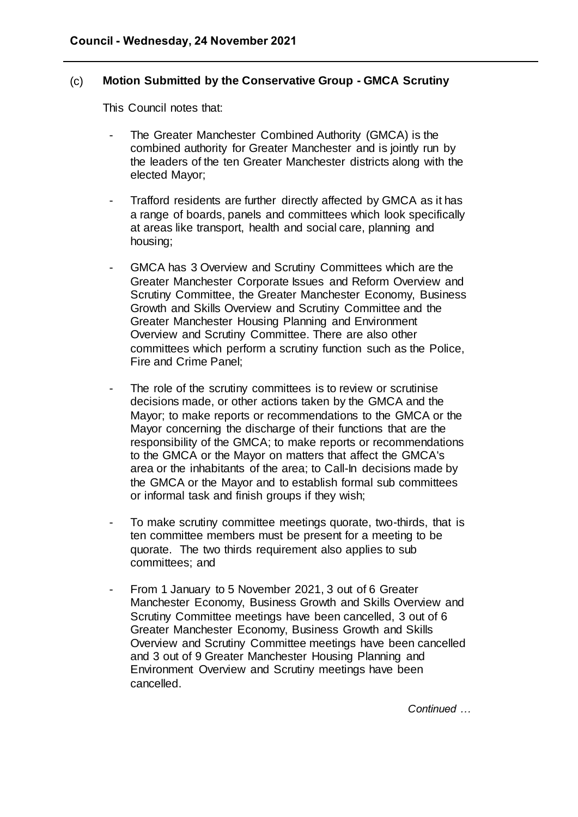## (c) **Motion Submitted by the Conservative Group - GMCA Scrutiny**

This Council notes that:

- The Greater Manchester Combined Authority (GMCA) is the combined authority for Greater Manchester and is jointly run by the leaders of the ten Greater Manchester districts along with the elected Mayor;
- Trafford residents are further directly affected by GMCA as it has a range of boards, panels and committees which look specifically at areas like transport, health and social care, planning and housing;
- GMCA has 3 Overview and Scrutiny Committees which are the Greater Manchester Corporate Issues and Reform Overview and Scrutiny Committee, the Greater Manchester Economy, Business Growth and Skills Overview and Scrutiny Committee and the Greater Manchester Housing Planning and Environment Overview and Scrutiny Committee. There are also other committees which perform a scrutiny function such as the Police, Fire and Crime Panel;
- The role of the scrutiny committees is to review or scrutinise decisions made, or other actions taken by the GMCA and the Mayor; to make reports or recommendations to the GMCA or the Mayor concerning the discharge of their functions that are the responsibility of the GMCA; to make reports or recommendations to the GMCA or the Mayor on matters that affect the GMCA's area or the inhabitants of the area; to Call-In decisions made by the GMCA or the Mayor and to establish formal sub committees or informal task and finish groups if they wish;
- To make scrutiny committee meetings quorate, two-thirds, that is ten committee members must be present for a meeting to be quorate. The two thirds requirement also applies to sub committees; and
- From 1 January to 5 November 2021, 3 out of 6 Greater Manchester Economy, Business Growth and Skills Overview and Scrutiny Committee meetings have been cancelled, 3 out of 6 Greater Manchester Economy, Business Growth and Skills Overview and Scrutiny Committee meetings have been cancelled and 3 out of 9 Greater Manchester Housing Planning and Environment Overview and Scrutiny meetings have been cancelled.

*Continued …*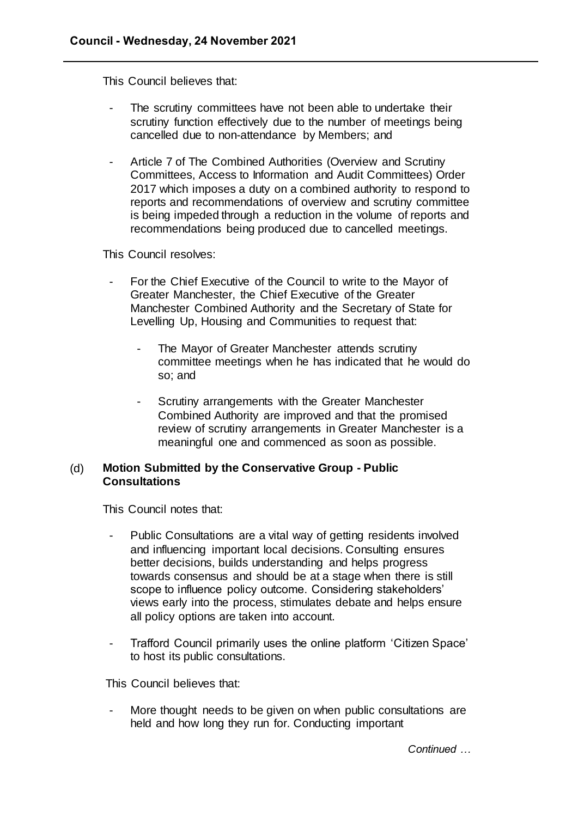This Council believes that:

- The scrutiny committees have not been able to undertake their scrutiny function effectively due to the number of meetings being cancelled due to non-attendance by Members; and
- Article 7 of The Combined Authorities (Overview and Scrutiny Committees, Access to Information and Audit Committees) Order 2017 which imposes a duty on a combined authority to respond to reports and recommendations of overview and scrutiny committee is being impeded through a reduction in the volume of reports and recommendations being produced due to cancelled meetings.

This Council resolves:

- For the Chief Executive of the Council to write to the Mayor of Greater Manchester, the Chief Executive of the Greater Manchester Combined Authority and the Secretary of State for Levelling Up, Housing and Communities to request that:
	- The Mayor of Greater Manchester attends scrutiny committee meetings when he has indicated that he would do so; and
	- Scrutiny arrangements with the Greater Manchester Combined Authority are improved and that the promised review of scrutiny arrangements in Greater Manchester is a meaningful one and commenced as soon as possible.

## (d) **Motion Submitted by the Conservative Group - Public Consultations**

This Council notes that:

- Public Consultations are a vital way of getting residents involved and influencing important local decisions. Consulting ensures better decisions, builds understanding and helps progress towards consensus and should be at a stage when there is still scope to influence policy outcome. Considering stakeholders' views early into the process, stimulates debate and helps ensure all policy options are taken into account.
- Trafford Council primarily uses the online platform 'Citizen Space' to host its public consultations.

This Council believes that:

More thought needs to be given on when public consultations are held and how long they run for. Conducting important

*Continued …*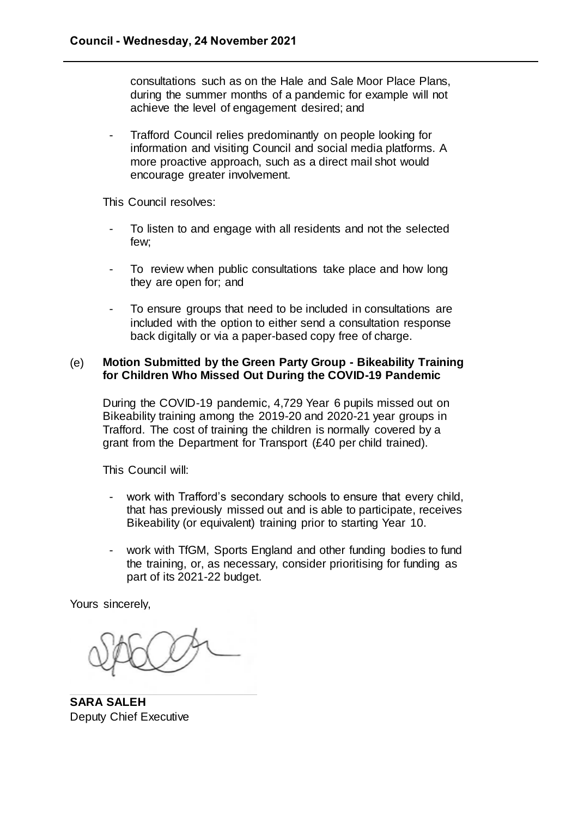consultations such as on the Hale and Sale Moor Place Plans, during the summer months of a pandemic for example will not achieve the level of engagement desired; and

- Trafford Council relies predominantly on people looking for information and visiting Council and social media platforms. A more proactive approach, such as a direct mail shot would encourage greater involvement.

This Council resolves:

- To listen to and engage with all residents and not the selected few;
- To review when public consultations take place and how long they are open for; and
- To ensure groups that need to be included in consultations are included with the option to either send a consultation response back digitally or via a paper-based copy free of charge.

## (e) **Motion Submitted by the Green Party Group - Bikeability Training for Children Who Missed Out During the COVID-19 Pandemic**

During the COVID-19 pandemic, 4,729 Year 6 pupils missed out on Bikeability training among the 2019-20 and 2020-21 year groups in Trafford. The cost of training the children is normally covered by a grant from the Department for Transport (£40 per child trained).

This Council will:

- work with Trafford's secondary schools to ensure that every child, that has previously missed out and is able to participate, receives Bikeability (or equivalent) training prior to starting Year 10.
- work with TfGM, Sports England and other funding bodies to fund the training, or, as necessary, consider prioritising for funding as part of its 2021-22 budget.

Yours sincerely,

**SARA SALEH** Deputy Chief Executive